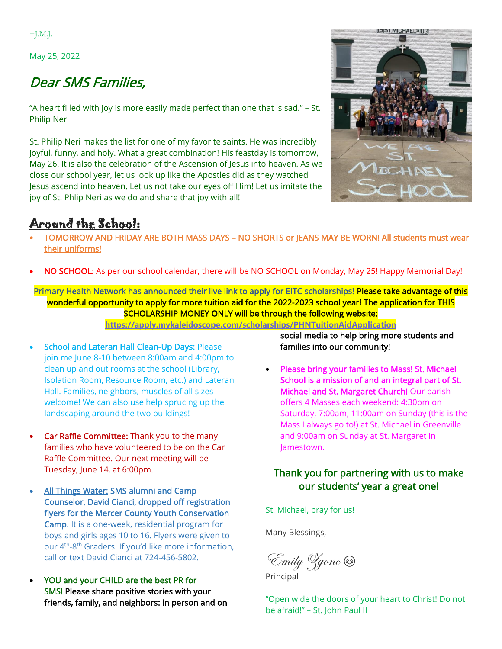$+$ J.M.J.

May 25, 2022

## Dear SMS Families,

"A heart filled with joy is more easily made perfect than one that is sad." – St. Philip Neri

St. Philip Neri makes the list for one of my favorite saints. He was incredibly joyful, funny, and holy. What a great combination! His feastday is tomorrow, May 26. It is also the celebration of the Ascension of Jesus into heaven. As we close our school year, let us look up like the Apostles did as they watched Jesus ascend into heaven. Let us not take our eyes off Him! Let us imitate the joy of St. Phlip Neri as we do and share that joy with all!

## Around the School:



- TOMORROW AND FRIDAY ARE BOTH MASS DAYS NO SHORTS or JEANS MAY BE WORN! All students must wear their uniforms!
- NO SCHOOL: As per our school calendar, there will be NO SCHOOL on Monday, May 25! Happy Memorial Day!

Primary Health Network has announced their live link to apply for EITC scholarships! Please take advantage of this wonderful opportunity to apply for more tuition aid for the 2022-2023 school year! The application for THIS SCHOLARSHIP MONEY ONLY will be through the following website:

**<https://apply.mykaleidoscope.com/scholarships/PHNTuitionAidApplication>**

- **School and Lateran Hall Clean-Up Days: Please** join me June 8-10 between 8:00am and 4:00pm to clean up and out rooms at the school (Library, Isolation Room, Resource Room, etc.) and Lateran Hall. Families, neighbors, muscles of all sizes welcome! We can also use help sprucing up the landscaping around the two buildings!
- Car Raffle Committee: Thank you to the many families who have volunteered to be on the Car Raffle Committee. Our next meeting will be Tuesday, June 14, at 6:00pm.
- All Things Water: SMS alumni and Camp Counselor, David Cianci, dropped off registration flyers for the Mercer County Youth Conservation Camp. It is a one-week, residential program for boys and girls ages 10 to 16. Flyers were given to our 4<sup>th</sup>-8<sup>th</sup> Graders. If you'd like more information, call or text David Cianci at 724-456-5802.
- YOU and your CHILD are the best PR for SMS! Please share positive stories with your friends, family, and neighbors: in person and on

social media to help bring more students and families into our community!

• Please bring your families to Mass! St. Michael School is a mission of and an integral part of St. Michael and St. Margaret Church! Our parish offers 4 Masses each weekend: 4:30pm on Saturday, 7:00am, 11:00am on Sunday (this is the Mass I always go to!) at St. Michael in Greenville and 9:00am on Sunday at St. Margaret in Jamestown.

## Thank you for partnering with us to make our students' year a great one!

St. Michael, pray for us!

Many Blessings,

Emily Zgonc

Principal

"Open wide the doors of your heart to Christ! Do not be afraid!" – St. John Paul II